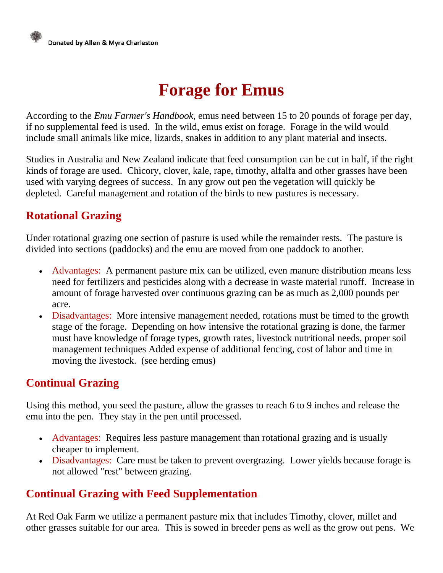# **Forage for Emus**

According to the *Emu Farmer's Handbook*, emus need between 15 to 20 pounds of forage per day, if no supplemental feed is used. In the wild, emus exist on forage. Forage in the wild would include small animals like mice, lizards, snakes in addition to any plant material and insects.

Studies in Australia and New Zealand indicate that feed consumption can be cut in half, if the right kinds of forage are used. Chicory, clover, kale, rape, timothy, alfalfa and other grasses have been used with varying degrees of success. In any grow out pen the vegetation will quickly be depleted. Careful management and rotation of the birds to new pastures is necessary.

## **Rotational Grazing**

Under rotational grazing one section of pasture is used while the remainder rests. The pasture is divided into sections (paddocks) and the emu are moved from one paddock to another.

- Advantages: A permanent pasture mix can be utilized, even manure distribution means less need for fertilizers and pesticides along with a decrease in waste material runoff. Increase in amount of forage harvested over continuous grazing can be as much as 2,000 pounds per acre.
- Disadvantages: More intensive management needed, rotations must be timed to the growth stage of the forage. Depending on how intensive the rotational grazing is done, the farmer must have knowledge of forage types, growth rates, livestock nutritional needs, proper soil management techniques Added expense of additional fencing, cost of labor and time in moving the livestock. (see [herding emus\)](http://www.redoakfarm.com/herding_emus.htm)

### **Continual Grazing**

Using this method, you seed the pasture, allow the grasses to reach 6 to 9 inches and release the emu into the pen. They stay in the pen until processed.

- Advantages: Requires less pasture management than rotational grazing and is usually cheaper to implement.
- Disadvantages: Care must be taken to prevent overgrazing. Lower yields because forage is not allowed "rest" between grazing.

### **Continual Grazing with Feed Supplementation**

At Red Oak Farm we utilize a permanent pasture mix that includes Timothy, clover, millet and other grasses suitable for our area. This is sowed in breeder pens as well as the grow out pens. We